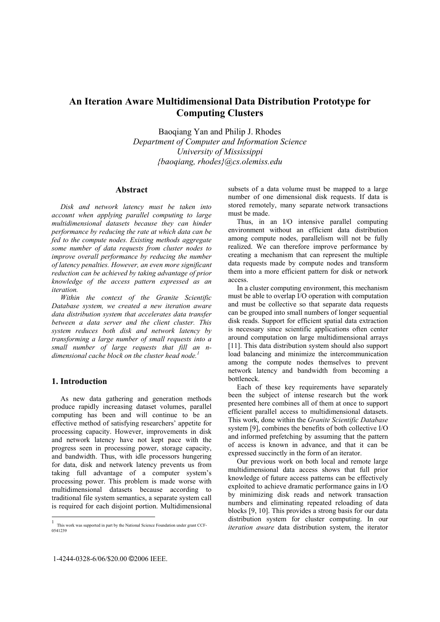# **An Iteration Aware Multidimensional Data Distribution Prototype for Computing Clusters**

Baoqiang Yan and Philip J. Rhodes *Department of Computer and Information Science University of Mississippi {baoqiang, rhodes}@cs.olemiss.edu* 

# **Abstract**

*Disk and network latency must be taken into account when applying parallel computing to large multidimensional datasets because they can hinder performance by reducing the rate at which data can be fed to the compute nodes. Existing methods aggregate some number of data requests from cluster nodes to improve overall performance by reducing the number of latency penalties. However, an even more significant reduction can be achieved by taking advantage of prior knowledge of the access pattern expressed as an iteration.* 

*Within the context of the Granite Scientific Database system, we created a new iteration aware data distribution system that accelerates data transfer between a data server and the client cluster. This system reduces both disk and network latency by transforming a large number of small requests into a small number of large requests that fill an n*dimensional cache block on the cluster head node.<sup>1</sup>

# **1. Introduction**

 $\overline{a}$ 

As new data gathering and generation methods produce rapidly increasing dataset volumes, parallel computing has been and will continue to be an effective method of satisfying researchers' appetite for processing capacity. However, improvements in disk and network latency have not kept pace with the progress seen in processing power, storage capacity, and bandwidth. Thus, with idle processors hungering for data, disk and network latency prevents us from taking full advantage of a computer system's processing power. This problem is made worse with multidimensional datasets because according to traditional file system semantics, a separate system call is required for each disjoint portion. Multidimensional

subsets of a data volume must be mapped to a large number of one dimensional disk requests. If data is stored remotely, many separate network transactions must be made.

Thus, in an I/O intensive parallel computing environment without an efficient data distribution among compute nodes, parallelism will not be fully realized. We can therefore improve performance by creating a mechanism that can represent the multiple data requests made by compute nodes and transform them into a more efficient pattern for disk or network access.

In a cluster computing environment, this mechanism must be able to overlap I/O operation with computation and must be collective so that separate data requests can be grouped into small numbers of longer sequential disk reads. Support for efficient spatial data extraction is necessary since scientific applications often center around computation on large multidimensional arrays [11]. This data distribution system should also support load balancing and minimize the intercommunication among the compute nodes themselves to prevent network latency and bandwidth from becoming a bottleneck.

Each of these key requirements have separately been the subject of intense research but the work presented here combines all of them at once to support efficient parallel access to multidimensional datasets. This work, done within the *Granite Scientific Database* system [9], combines the benefits of both collective I/O and informed prefetching by assuming that the pattern of access is known in advance, and that it can be expressed succinctly in the form of an iterator.

Our previous work on both local and remote large multidimensional data access shows that full prior knowledge of future access patterns can be effectively exploited to achieve dramatic performance gains in I/O by minimizing disk reads and network transaction numbers and eliminating repeated reloading of data blocks [9, 10]. This provides a strong basis for our data distribution system for cluster computing. In our *iteration aware* data distribution system, the iterator

<sup>1</sup> This work was supported in part by the National Science Foundation under grant CCF-0541239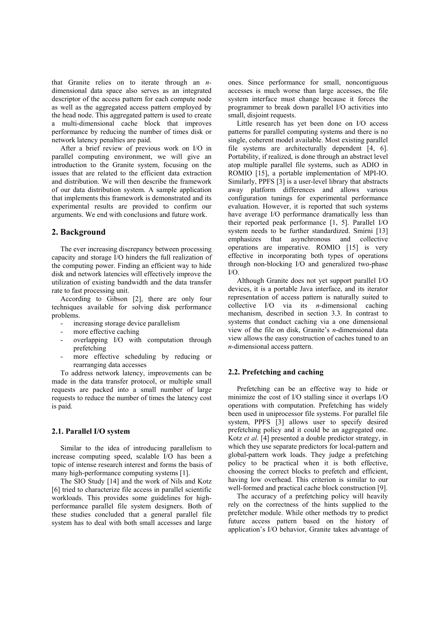that Granite relies on to iterate through an *n*dimensional data space also serves as an integrated descriptor of the access pattern for each compute node as well as the aggregated access pattern employed by the head node. This aggregated pattern is used to create a multi-dimensional cache block that improves performance by reducing the number of times disk or network latency penalties are paid.

After a brief review of previous work on I/O in parallel computing environment, we will give an introduction to the Granite system, focusing on the issues that are related to the efficient data extraction and distribution. We will then describe the framework of our data distribution system. A sample application that implements this framework is demonstrated and its experimental results are provided to confirm our arguments. We end with conclusions and future work.

### **2. Background**

The ever increasing discrepancy between processing capacity and storage I/O hinders the full realization of the computing power. Finding an efficient way to hide disk and network latencies will effectively improve the utilization of existing bandwidth and the data transfer rate to fast processing unit.

According to Gibson [2], there are only four techniques available for solving disk performance problems.

- increasing storage device parallelism
- more effective caching
- overlapping I/O with computation through prefetching
- more effective scheduling by reducing or rearranging data accesses

To address network latency, improvements can be made in the data transfer protocol, or multiple small requests are packed into a small number of large requests to reduce the number of times the latency cost is paid.

#### **2.1. Parallel I/O system**

Similar to the idea of introducing parallelism to increase computing speed, scalable I/O has been a topic of intense research interest and forms the basis of many high-performance computing systems [1].

The SIO Study [14] and the work of Nils and Kotz [6] tried to characterize file access in parallel scientific workloads. This provides some guidelines for highperformance parallel file system designers. Both of these studies concluded that a general parallel file system has to deal with both small accesses and large ones. Since performance for small, noncontiguous accesses is much worse than large accesses, the file system interface must change because it forces the programmer to break down parallel I/O activities into small, disjoint requests.

Little research has yet been done on I/O access patterns for parallel computing systems and there is no single, coherent model available. Most existing parallel file systems are architecturally dependent [4, 6]. Portability, if realized, is done through an abstract level atop multiple parallel file systems, such as ADIO in ROMIO [15], a portable implementation of MPI-IO. Similarly, PPFS [3] is a user-level library that abstracts away platform differences and allows various configuration tunings for experimental performance evaluation. However, it is reported that such systems have average I/O performance dramatically less than their reported peak performance [1, 5]. Parallel I/O system needs to be further standardized. Smirni [13] emphasizes that asynchronous and collective operations are imperative. ROMIO [15] is very effective in incorporating both types of operations through non-blocking I/O and generalized two-phase  $I/\Omega$ 

Although Granite does not yet support parallel I/O devices, it is a portable Java interface, and its iterator representation of access pattern is naturally suited to collective I/O via its *n*-dimensional caching mechanism, described in section 3.3. In contrast to systems that conduct caching via a one dimensional view of the file on disk, Granite's *n*-dimensional data view allows the easy construction of caches tuned to an *n*-dimensional access pattern.

#### **2.2. Prefetching and caching**

Prefetching can be an effective way to hide or minimize the cost of I/O stalling since it overlaps I/O operations with computation. Prefetching has widely been used in uniprocessor file systems. For parallel file system, PPFS [3] allows user to specify desired prefetching policy and it could be an aggregated one. Kotz *et al*. [4] presented a double predictor strategy, in which they use separate predictors for local-pattern and global-pattern work loads. They judge a prefetching policy to be practical when it is both effective, choosing the correct blocks to prefetch and efficient, having low overhead. This criterion is similar to our well-formed and practical cache block construction [9].

The accuracy of a prefetching policy will heavily rely on the correctness of the hints supplied to the prefetcher module. While other methods try to predict future access pattern based on the history of application's I/O behavior, Granite takes advantage of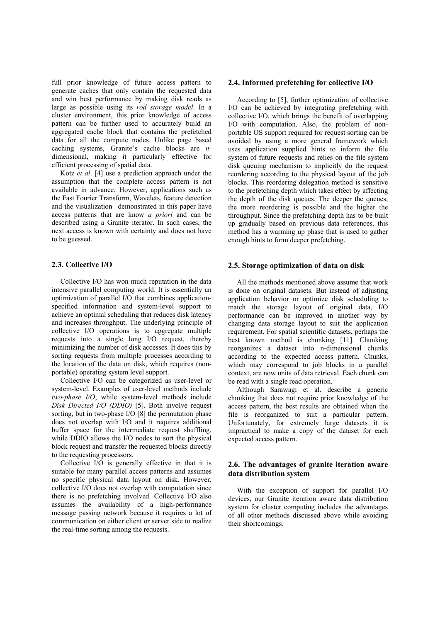full prior knowledge of future access pattern to generate caches that only contain the requested data and win best performance by making disk reads as large as possible using its *rod storage model*. In a cluster environment, this prior knowledge of access pattern can be further used to accurately build an aggregated cache block that contains the prefetched data for all the compute nodes. Unlike page based caching systems, Granite's cache blocks are *n*dimensional, making it particularly effective for efficient processing of spatial data.

Kotz *et al*. [4] use a prediction approach under the assumption that the complete access pattern is not available in advance. However, applications such as the Fast Fourier Transform, Wavelets, feature detection and the visualization demonstrated in this paper have access patterns that are know *a priori* and can be described using a Granite iterator. In such cases, the next access is known with certainty and does not have to be guessed.

# **2.3. Collective I/O**

Collective I/O has won much reputation in the data intensive parallel computing world. It is essentially an optimization of parallel I/O that combines applicationspecified information and system-level support to achieve an optimal scheduling that reduces disk latency and increases throughput. The underlying principle of collective I/O operations is to aggregate multiple requests into a single long I/O request, thereby minimizing the number of disk accesses. It does this by sorting requests from multiple processes according to the location of the data on disk, which requires (nonportable) operating system level support.

Collective I/O can be categorized as user-level or system-level. Examples of user-level methods include *two-phase I/O*, while system-level methods include *Disk Directed I/O (DDIO)* [5]. Both involve request sorting, but in two-phase I/O [8] the permutation phase does not overlap with I/O and it requires additional buffer space for the intermediate request shuffling, while DDIO allows the I/O nodes to sort the physical block request and transfer the requested blocks directly to the requesting processors.

Collective I/O is generally effective in that it is suitable for many parallel access patterns and assumes no specific physical data layout on disk. However, collective I/O does not overlap with computation since there is no prefetching involved. Collective I/O also assumes the availability of a high-performance message passing network because it requires a lot of communication on either client or server side to realize the real-time sorting among the requests.

#### **2.4. Informed prefetching for collective I/O**

According to [5], further optimization of collective I/O can be achieved by integrating prefetching with collective I/O, which brings the benefit of overlapping I/O with computation. Also, the problem of nonportable OS support required for request sorting can be avoided by using a more general framework which uses application supplied hints to inform the file system of future requests and relies on the file system disk queuing mechanism to implicitly do the request reordering according to the physical layout of the job blocks. This reordering delegation method is sensitive to the prefetching depth which takes effect by affecting the depth of the disk queues. The deeper the queues, the more reordering is possible and the higher the throughput. Since the prefetching depth has to be built up gradually based on previous data references, this method has a warming up phase that is used to gather enough hints to form deeper prefetching.

#### **2.5. Storage optimization of data on disk**

All the methods mentioned above assume that work is done on original datasets. But instead of adjusting application behavior or optimize disk scheduling to match the storage layout of original data, I/O performance can be improved in another way by changing data storage layout to suit the application requirement. For spatial scientific datasets, perhaps the best known method is chunking [11]. Chunking reorganizes a dataset into n-dimensional chunks according to the expected access pattern. Chunks, which may correspond to job blocks in a parallel context, are now units of data retrieval. Each chunk can be read with a single read operation.

Although Sarawagi et al. describe a generic chunking that does not require prior knowledge of the access pattern, the best results are obtained when the file is reorganized to suit a particular pattern. Unfortunately, for extremely large datasets it is impractical to make a copy of the dataset for each expected access pattern.

# **2.6. The advantages of granite iteration aware data distribution system**

With the exception of support for parallel I/O devices, our Granite iteration aware data distribution system for cluster computing includes the advantages of all other methods discussed above while avoiding their shortcomings.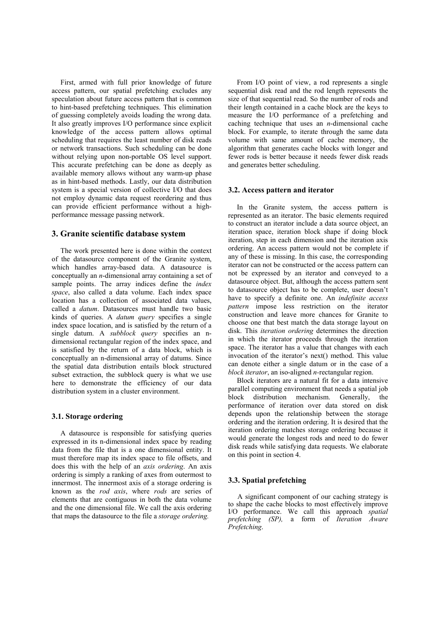First, armed with full prior knowledge of future access pattern, our spatial prefetching excludes any speculation about future access pattern that is common to hint-based prefetching techniques. This elimination of guessing completely avoids loading the wrong data. It also greatly improves I/O performance since explicit knowledge of the access pattern allows optimal scheduling that requires the least number of disk reads or network transactions. Such scheduling can be done without relying upon non-portable OS level support. This accurate prefetching can be done as deeply as available memory allows without any warm-up phase as in hint-based methods. Lastly, our data distribution system is a special version of collective I/O that does not employ dynamic data request reordering and thus can provide efficient performance without a highperformance message passing network.

### **3. Granite scientific database system**

The work presented here is done within the context of the datasource component of the Granite system, which handles array-based data. A datasource is conceptually an *n*-dimensional array containing a set of sample points. The array indices define the *index space*, also called a data volume. Each index space location has a collection of associated data values, called a *datum*. Datasources must handle two basic kinds of queries. A *datum query* specifies a single index space location, and is satisfied by the return of a single datum. A *subblock query* specifies an ndimensional rectangular region of the index space, and is satisfied by the return of a data block, which is conceptually an n-dimensional array of datums. Since the spatial data distribution entails block structured subset extraction, the subblock query is what we use here to demonstrate the efficiency of our data distribution system in a cluster environment.

# **3.1. Storage ordering**

A datasource is responsible for satisfying queries expressed in its n-dimensional index space by reading data from the file that is a one dimensional entity. It must therefore map its index space to file offsets, and does this with the help of an *axis ordering*. An axis ordering is simply a ranking of axes from outermost to innermost. The innermost axis of a storage ordering is known as the *rod axis*, where *rods* are series of elements that are contiguous in both the data volume and the one dimensional file. We call the axis ordering that maps the datasource to the file a *storage ordering.* 

From I/O point of view, a rod represents a single sequential disk read and the rod length represents the size of that sequential read. So the number of rods and their length contained in a cache block are the keys to measure the I/O performance of a prefetching and caching technique that uses an *n*-dimensional cache block. For example, to iterate through the same data volume with same amount of cache memory, the algorithm that generates cache blocks with longer and fewer rods is better because it needs fewer disk reads and generates better scheduling.

#### **3.2. Access pattern and iterator**

In the Granite system, the access pattern is represented as an iterator. The basic elements required to construct an iterator include a data source object, an iteration space, iteration block shape if doing block iteration, step in each dimension and the iteration axis ordering. An access pattern would not be complete if any of these is missing. In this case, the corresponding iterator can not be constructed or the access pattern can not be expressed by an iterator and conveyed to a datasource object. But, although the access pattern sent to datasource object has to be complete, user doesn't have to specify a definite one. An *indefinite access pattern* impose less restriction on the iterator construction and leave more chances for Granite to choose one that best match the data storage layout on disk. This *iteration ordering* determines the direction in which the iterator proceeds through the iteration space. The iterator has a value that changes with each invocation of the iterator's next() method. This value can denote either a single datum or in the case of a *block iterator*, an iso-aligned *n-*rectangular region.

Block iterators are a natural fit for a data intensive parallel computing environment that needs a spatial job block distribution mechanism. Generally, the performance of iteration over data stored on disk depends upon the relationship between the storage ordering and the iteration ordering. It is desired that the iteration ordering matches storage ordering because it would generate the longest rods and need to do fewer disk reads while satisfying data requests. We elaborate on this point in section 4.

# **3.3. Spatial prefetching**

A significant component of our caching strategy is to shape the cache blocks to most effectively improve I/O performance. We call this approach *spatial prefetching (SP),* a form of *Iteration Aware Prefetching*.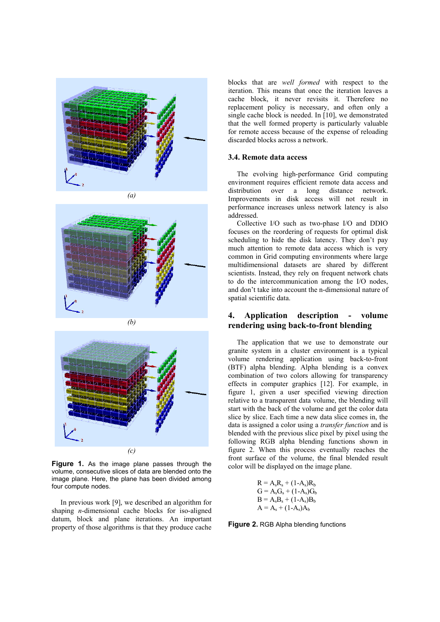





**Figure 1.** As the image plane passes through the volume, consecutive slices of data are blended onto the image plane. Here, the plane has been divided among four compute nodes.

In previous work [9], we described an algorithm for shaping *n*-dimensional cache blocks for iso-aligned datum, block and plane iterations. An important property of those algorithms is that they produce cache blocks that are *well formed* with respect to the iteration. This means that once the iteration leaves a cache block, it never revisits it. Therefore no replacement policy is necessary, and often only a single cache block is needed. In [10], we demonstrated that the well formed property is particularly valuable for remote access because of the expense of reloading discarded blocks across a network.

# **3.4. Remote data access**

The evolving high-performance Grid computing environment requires efficient remote data access and distribution over a long distance network. Improvements in disk access will not result in performance increases unless network latency is also addressed.

Collective I/O such as two-phase I/O and DDIO focuses on the reordering of requests for optimal disk scheduling to hide the disk latency. They don't pay much attention to remote data access which is very common in Grid computing environments where large multidimensional datasets are shared by different scientists. Instead, they rely on frequent network chats to do the intercommunication among the I/O nodes, and don't take into account the n-dimensional nature of spatial scientific data.

# **4. Application description - volume rendering using back-to-front blending**

The application that we use to demonstrate our granite system in a cluster environment is a typical volume rendering application using back-to-front (BTF) alpha blending. Alpha blending is a convex combination of two colors allowing for transparency effects in computer graphics [12]. For example, in figure 1, given a user specified viewing direction relative to a transparent data volume, the blending will start with the back of the volume and get the color data slice by slice. Each time a new data slice comes in, the data is assigned a color using a *transfer function* and is blended with the previous slice pixel by pixel using the following RGB alpha blending functions shown in figure 2. When this process eventually reaches the front surface of the volume, the final blended result color will be displayed on the image plane.

$$
R = A_s R_s + (1 - A_s) R_b
$$
  
\n
$$
G = A_s G_s + (1 - A_s) G_b
$$
  
\n
$$
B = A_s B_s + (1 - A_s) B_b
$$
  
\n
$$
A = A_s + (1 - A_s) A_b
$$

**Figure 2.** RGB Alpha blending functions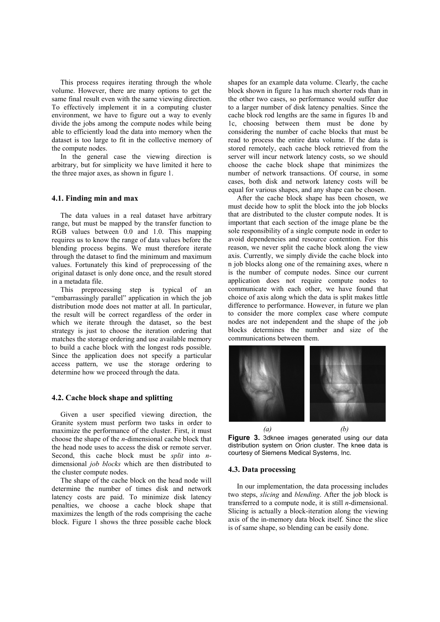This process requires iterating through the whole volume. However, there are many options to get the same final result even with the same viewing direction. To effectively implement it in a computing cluster environment, we have to figure out a way to evenly divide the jobs among the compute nodes while being able to efficiently load the data into memory when the dataset is too large to fit in the collective memory of the compute nodes.

In the general case the viewing direction is arbitrary, but for simplicity we have limited it here to the three major axes, as shown in figure 1.

### **4.1. Finding min and max**

The data values in a real dataset have arbitrary range, but must be mapped by the transfer function to RGB values between 0.0 and 1.0. This mapping requires us to know the range of data values before the blending process begins. We must therefore iterate through the dataset to find the minimum and maximum values. Fortunately this kind of preprocessing of the original dataset is only done once, and the result stored in a metadata file.

This preprocessing step is typical of an "embarrassingly parallel" application in which the job distribution mode does not matter at all. In particular, the result will be correct regardless of the order in which we iterate through the dataset, so the best strategy is just to choose the iteration ordering that matches the storage ordering and use available memory to build a cache block with the longest rods possible. Since the application does not specify a particular access pattern, we use the storage ordering to determine how we proceed through the data.

#### **4.2. Cache block shape and splitting**

Given a user specified viewing direction, the Granite system must perform two tasks in order to maximize the performance of the cluster. First, it must choose the shape of the *n*-dimensional cache block that the head node uses to access the disk or remote server. Second, this cache block must be *split* into *n*dimensional *job blocks* which are then distributed to the cluster compute nodes.

The shape of the cache block on the head node will determine the number of times disk and network latency costs are paid. To minimize disk latency penalties, we choose a cache block shape that maximizes the length of the rods comprising the cache block. Figure 1 shows the three possible cache block shapes for an example data volume. Clearly, the cache block shown in figure 1a has much shorter rods than in the other two cases, so performance would suffer due to a larger number of disk latency penalties. Since the cache block rod lengths are the same in figures 1b and 1c, choosing between them must be done by considering the number of cache blocks that must be read to process the entire data volume. If the data is stored remotely, each cache block retrieved from the server will incur network latency costs, so we should choose the cache block shape that minimizes the number of network transactions. Of course, in some cases, both disk and network latency costs will be equal for various shapes, and any shape can be chosen.

After the cache block shape has been chosen, we must decide how to split the block into the job blocks that are distributed to the cluster compute nodes. It is important that each section of the image plane be the sole responsibility of a single compute node in order to avoid dependencies and resource contention. For this reason, we never split the cache block along the view axis. Currently, we simply divide the cache block into n job blocks along one of the remaining axes, where n is the number of compute nodes. Since our current application does not require compute nodes to communicate with each other, we have found that choice of axis along which the data is split makes little difference to performance. However, in future we plan to consider the more complex case where compute nodes are not independent and the shape of the job blocks determines the number and size of the communications between them.



**Figure 3.** 3dknee images generated using our data distribution system on Orion cluster. The knee data is courtesy of Siemens Medical Systems, Inc.

#### **4.3. Data processing**

In our implementation, the data processing includes two steps, *slicing* and *blending*. After the job block is transferred to a compute node, it is still *n*-dimensional. Slicing is actually a block-iteration along the viewing axis of the in-memory data block itself. Since the slice is of same shape, so blending can be easily done.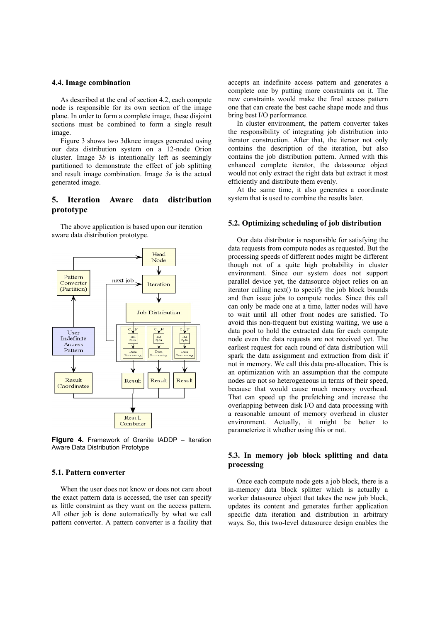#### **4.4. Image combination**

As described at the end of section 4.2, each compute node is responsible for its own section of the image plane. In order to form a complete image, these disjoint sections must be combined to form a single result image.

Figure 3 shows two 3dknee images generated using our data distribution system on a 12-node Orion cluster. Image 3*b* is intentionally left as seemingly partitioned to demonstrate the effect of job splitting and result image combination. Image *3a* is the actual generated image.

# **5. Iteration Aware data distribution prototype**

The above application is based upon our iteration aware data distribution prototype.



**Figure 4***.* Framework of Granite IADDP – Iteration Aware Data Distribution Prototype

# **5.1. Pattern converter**

When the user does not know or does not care about the exact pattern data is accessed, the user can specify as little constraint as they want on the access pattern. All other job is done automatically by what we call pattern converter. A pattern converter is a facility that accepts an indefinite access pattern and generates a complete one by putting more constraints on it. The new constraints would make the final access pattern one that can create the best cache shape mode and thus bring best I/O performance.

In cluster environment, the pattern converter takes the responsibility of integrating job distribution into iterator construction. After that, the iteraor not only contains the description of the iteration, but also contains the job distribution pattern. Armed with this enhanced complete iterator, the datasource object would not only extract the right data but extract it most efficiently and distribute them evenly.

At the same time, it also generates a coordinate system that is used to combine the results later.

#### **5.2. Optimizing scheduling of job distribution**

Our data distributor is responsible for satisfying the data requests from compute nodes as requested. But the processing speeds of different nodes might be different though not of a quite high probability in cluster environment. Since our system does not support parallel device yet, the datasource object relies on an iterator calling next() to specify the job block bounds and then issue jobs to compute nodes. Since this call can only be made one at a time, latter nodes will have to wait until all other front nodes are satisfied. To avoid this non-frequent but existing waiting, we use a data pool to hold the extracted data for each compute node even the data requests are not received yet. The earliest request for each round of data distribution will spark the data assignment and extraction from disk if not in memory. We call this data pre-allocation. This is an optimization with an assumption that the compute nodes are not so heterogeneous in terms of their speed, because that would cause much memory overhead. That can speed up the prefetching and increase the overlapping between disk I/O and data processing with a reasonable amount of memory overhead in cluster environment. Actually, it might be better to parameterize it whether using this or not.

### **5.3. In memory job block splitting and data processing**

Once each compute node gets a job block, there is a in-memory data block splitter which is actually a worker datasource object that takes the new job block, updates its content and generates further application specific data iteration and distribution in arbitrary ways. So, this two-level datasource design enables the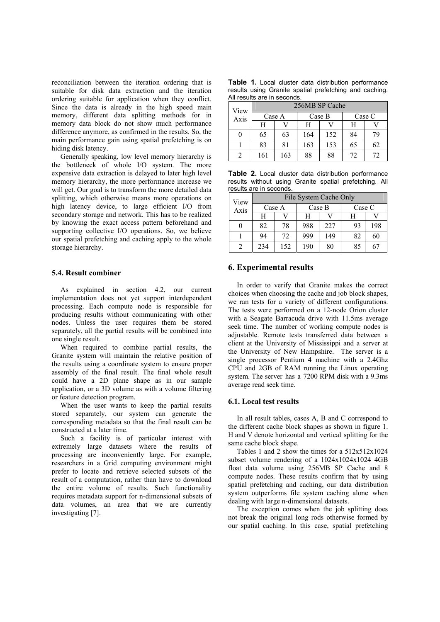reconciliation between the iteration ordering that is suitable for disk data extraction and the iteration ordering suitable for application when they conflict. Since the data is already in the high speed main memory, different data splitting methods for in memory data block do not show much performance difference anymore, as confirmed in the results. So, the main performance gain using spatial prefetching is on hiding disk latency.

Generally speaking, low level memory hierarchy is the bottleneck of whole I/O system. The more expensive data extraction is delayed to later high level memory hierarchy, the more performance increase we will get. Our goal is to transform the more detailed data splitting, which otherwise means more operations on high latency device, to large efficient I/O from secondary storage and network. This has to be realized by knowing the exact access pattern beforehand and supporting collective I/O operations. So, we believe our spatial prefetching and caching apply to the whole storage hierarchy.

### **5.4. Result combiner**

As explained in section 4.2, our current implementation does not yet support interdependent processing. Each compute node is responsible for producing results without communicating with other nodes. Unless the user requires them be stored separately, all the partial results will be combined into one single result.

When required to combine partial results, the Granite system will maintain the relative position of the results using a coordinate system to ensure proper assembly of the final result. The final whole result could have a 2D plane shape as in our sample application, or a 3D volume as with a volume filtering or feature detection program.

When the user wants to keep the partial results stored separately, our system can generate the corresponding metadata so that the final result can be constructed at a later time.

Such a facility is of particular interest with extremely large datasets where the results of processing are inconveniently large. For example, researchers in a Grid computing environment might prefer to locate and retrieve selected subsets of the result of a computation, rather than have to download the entire volume of results. Such functionality requires metadata support for n-dimensional subsets of data volumes, an area that we are currently investigating [7].

**Table 1.** Local cluster data distribution performance results using Granite spatial prefetching and caching. All results are in seconds.

| View<br>Axis | 256MB SP Cache |     |        |     |        |    |  |
|--------------|----------------|-----|--------|-----|--------|----|--|
|              | Case A         |     | Case B |     | Case C |    |  |
|              | Н              |     | H      |     | H      |    |  |
|              | 65             | 63  | 164    | 152 | 84     | 79 |  |
|              | 83             | 81  | 163    | 153 | 65     | 62 |  |
|              | 161            | 163 | 88     | 88  | 72     | 72 |  |

**Table 2.** Local cluster data distribution performance results without using Granite spatial prefetching. All results are in seconds.

| View<br>Axis | File System Cache Only |     |        |     |        |     |  |
|--------------|------------------------|-----|--------|-----|--------|-----|--|
|              | Case A                 |     | Case B |     | Case C |     |  |
|              | Н                      |     | H      |     | Н      |     |  |
|              | 82                     | 78  | 988    | 227 | 93     | 198 |  |
|              | 94                     | 72  | 999    | 149 | 82     | 60  |  |
|              | 234                    | 152 | 190    | 80  | 85     |     |  |

# **6. Experimental results**

In order to verify that Granite makes the correct choices when choosing the cache and job block shapes, we ran tests for a variety of different configurations. The tests were performed on a 12-node Orion cluster with a Seagate Barracuda drive with 11.5ms average seek time. The number of working compute nodes is adjustable. Remote tests transferred data between a client at the University of Mississippi and a server at the University of New Hampshire. The server is a single processor Pentium 4 machine with a 2.4Ghz CPU and 2GB of RAM running the Linux operating system. The server has a 7200 RPM disk with a 9.3ms average read seek time.

#### **6.1. Local test results**

In all result tables, cases A, B and C correspond to the different cache block shapes as shown in figure 1. H and V denote horizontal and vertical splitting for the same cache block shape.

Tables 1 and 2 show the times for a  $512x512x1024$ subset volume rendering of a 1024x1024x1024 4GB float data volume using 256MB SP Cache and 8 compute nodes. These results confirm that by using spatial prefetching and caching, our data distribution system outperforms file system caching alone when dealing with large n-dimensional datasets.

The exception comes when the job splitting does not break the original long rods otherwise formed by our spatial caching. In this case, spatial prefetching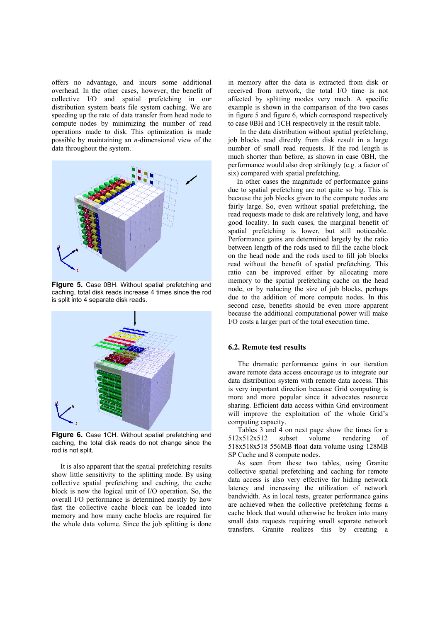offers no advantage, and incurs some additional overhead. In the other cases, however, the benefit of collective I/O and spatial prefetching in our distribution system beats file system caching. We are speeding up the rate of data transfer from head node to compute nodes by minimizing the number of read operations made to disk. This optimization is made possible by maintaining an *n*-dimensional view of the data throughout the system.



**Figure 5.** Case 0BH. Without spatial prefetching and caching, total disk reads increase 4 times since the rod is split into 4 separate disk reads.



**Figure 6.** Case 1CH. Without spatial prefetching and caching, the total disk reads do not change since the rod is not split.

It is also apparent that the spatial prefetching results show little sensitivity to the splitting mode. By using collective spatial prefetching and caching, the cache block is now the logical unit of I/O operation. So, the overall I/O performance is determined mostly by how fast the collective cache block can be loaded into memory and how many cache blocks are required for the whole data volume. Since the job splitting is done in memory after the data is extracted from disk or received from network, the total I/O time is not affected by splitting modes very much. A specific example is shown in the comparison of the two cases in figure 5 and figure 6, which correspond respectively to case 0BH and 1CH respectively in the result table.

 In the data distribution without spatial prefetching, job blocks read directly from disk result in a large number of small read requests. If the rod length is much shorter than before, as shown in case 0BH, the performance would also drop strikingly (e.g. a factor of six) compared with spatial prefetching.

In other cases the magnitude of performance gains due to spatial prefetching are not quite so big. This is because the job blocks given to the compute nodes are fairly large. So, even without spatial prefetching, the read requests made to disk are relatively long, and have good locality. In such cases, the marginal benefit of spatial prefetching is lower, but still noticeable. Performance gains are determined largely by the ratio between length of the rods used to fill the cache block on the head node and the rods used to fill job blocks read without the benefit of spatial prefetching. This ratio can be improved either by allocating more memory to the spatial prefetching cache on the head node, or by reducing the size of job blocks, perhaps due to the addition of more compute nodes. In this second case, benefits should be even more apparent because the additional computational power will make I/O costs a larger part of the total execution time.

#### **6.2. Remote test results**

The dramatic performance gains in our iteration aware remote data access encourage us to integrate our data distribution system with remote data access. This is very important direction because Grid computing is more and more popular since it advocates resource sharing. Efficient data access within Grid environment will improve the exploitation of the whole Grid's computing capacity.

Tables 3 and 4 on next page show the times for a 512x512x512 subset volume rendering of 518x518x518 556MB float data volume using 128MB SP Cache and 8 compute nodes.

As seen from these two tables, using Granite collective spatial prefetching and caching for remote data access is also very effective for hiding network latency and increasing the utilization of network bandwidth. As in local tests, greater performance gains are achieved when the collective prefetching forms a cache block that would otherwise be broken into many small data requests requiring small separate network transfers. Granite realizes this by creating a